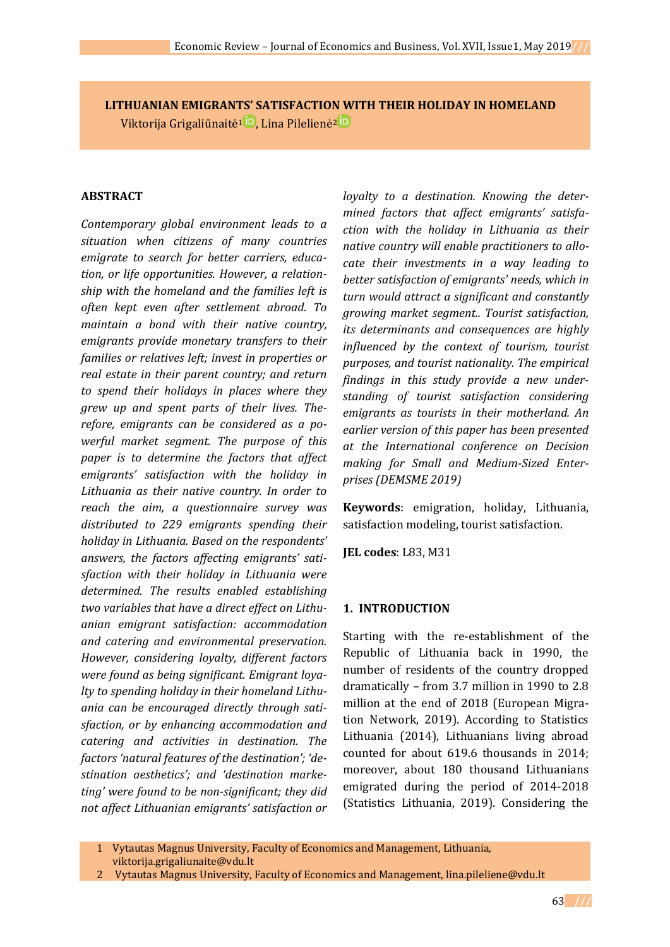**LITHUANIAN EMIGRANTS' SATISFACTION WITH THEIR HOLIDAY IN HOMELAND** Viktorija [Grigaliūnaitė](https://orcid.org/0000-0001-8340-2993)<sup>1</sup><sup>iD</sup>, Lina [Pilelienė](https://orcid.org/0000-0003-2704-8314)<sup>2</sup><sup>iD</sup>

#### **ABSTRACT**

*Contemporary global environment leads to a situation when citizens of many countries emigrate to search for better carriers, education, or life opportunities. However, a relationship with the homeland and the families left is often kept even after settlement abroad. To maintain a bond with their native country, emigrants provide monetary transfers to their families or relatives left; invest in properties or real estate in their parent country; and return to spend their holidays in places where they grew up and spent parts of their lives. Therefore, emigrants can be considered as a powerful market segment. The purpose of this paper is to determine the factors that affect emigrants' satisfaction with the holiday in Lithuania as their native country. In order to reach the aim, a questionnaire survey was distributed to 229 emigrants spending their holiday in Lithuania. Based on the respondents' answers, the factors affecting emigrants' satisfaction with their holiday in Lithuania were determined. The results enabled establishing two variables that have a direct effect on Lithuanian emigrant satisfaction: accommodation and catering and environmental preservation. However, considering loyalty, different factors were found as being significant. Emigrant loyalty to spending holiday in their homeland Lithuania can be encouraged directly through satisfaction, or by enhancing accommodation and catering and activities in destination. The factors 'natural features of the destination'; 'destination aesthetics'; and 'destination marketing' were found to be non-significant; they did not affect Lithuanian emigrants' satisfaction or* 

*loyalty to a destination. Knowing the determined factors that affect emigrants' satisfaction with the holiday in Lithuania as their native country will enable practitioners to allocate their investments in a way leading to better satisfaction of emigrants' needs, which in turn would attract a significant and constantly growing market segment.. Tourist satisfaction, its determinants and consequences are highly influenced by the context of tourism, tourist purposes, and tourist nationality. The empirical findings in this study provide a new understanding of tourist satisfaction considering emigrants as tourists in their motherland. An earlier version of this paper has been presented at the International conference on Decision making for Small and Medium-Sized Enterprises (DEMSME 2019)*

**Keywords**: emigration, holiday, Lithuania, satisfaction modeling, tourist satisfaction.

**JEL codes**: L83, M31

#### **1. INTRODUCTION**

Starting with the re-establishment of the Republic of Lithuania back in 1990, the number of residents of the country dropped dramatically – from 3.7 million in 1990 to 2.8 million at the end of 2018 (European Migration Network, 2019). According to Statistics Lithuania (2014), Lithuanians living abroad counted for about 619.6 thousands in 2014; moreover, about 180 thousand Lithuanians emigrated during the period of 2014-2018 (Statistics Lithuania, 2019). Considering the

<sup>1</sup> Vytautas Magnus University, Faculty of Economics and Management, Lithuania, [viktorija.grigaliunaite@vdu.lt](mailto:viktorija.grigaliunaite@vdu.lt)

<sup>2</sup> Vytautas Magnus University, Faculty of Economics and Management, [lina.pileliene@vdu.lt](mailto:lina.pileliene@vdu.lt)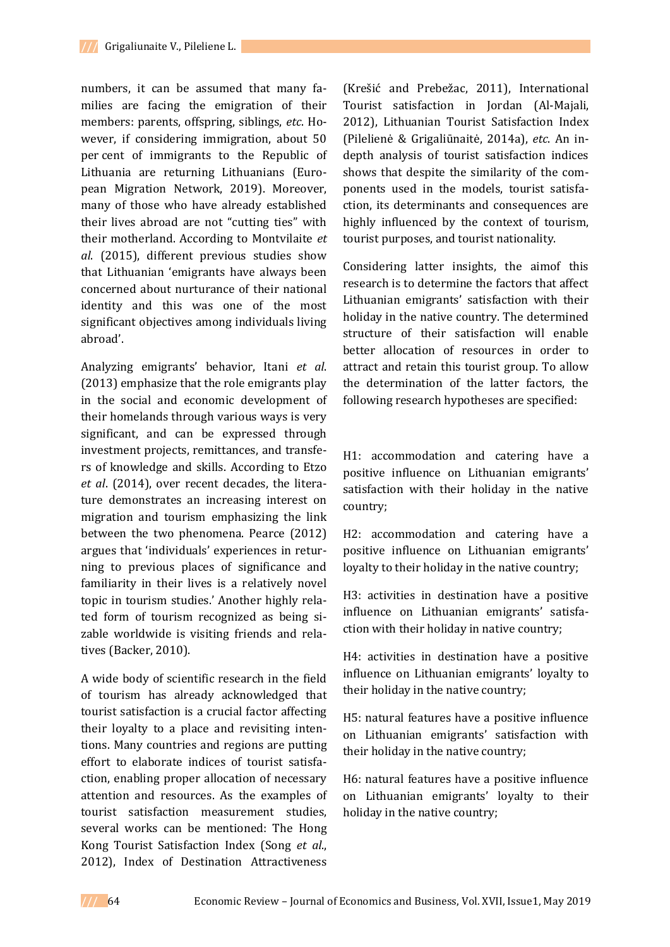numbers, it can be assumed that many families are facing the emigration of their members: parents, offspring, siblings, *etc*. However, if considering immigration, about 50 per cent of immigrants to the Republic of Lithuania are returning Lithuanians (European Migration Network, 2019). Moreover, many of those who have already established their lives abroad are not "cutting ties" with their motherland. According to Montvilaite *et al*. (2015), different previous studies show that Lithuanian 'emigrants have always been concerned about nurturance of their national identity and this was one of the most significant objectives among individuals living abroad'.

Analyzing emigrants' behavior, Itani *et al*. (2013) emphasize that the role emigrants play in the social and economic development of their homelands through various ways is very significant, and can be expressed through investment projects, remittances, and transfers of knowledge and skills. According to Etzo *et al*. (2014), over recent decades, the literature demonstrates an increasing interest on migration and tourism emphasizing the link between the two phenomena. Pearce (2012) argues that 'individuals' experiences in returning to previous places of significance and familiarity in their lives is a relatively novel topic in tourism studies.' Another highly related form of tourism recognized as being sizable worldwide is visiting friends and relatives (Backer, 2010).

A wide body of scientific research in the field of tourism has already acknowledged that tourist satisfaction is a crucial factor affecting their loyalty to a place and revisiting intentions. Many countries and regions are putting effort to elaborate indices of tourist satisfaction, enabling proper allocation of necessary attention and resources. As the examples of tourist satisfaction measurement studies, several works can be mentioned: The Hong Kong Tourist Satisfaction Index (Song *et al*., 2012), Index of Destination Attractiveness

(Krešić and Prebežac, 2011), International Tourist satisfaction in Jordan (Al-Majali, 2012), Lithuanian Tourist Satisfaction Index (Pilelienė & Grigaliūnaitė, 2014a), *etc*. An indepth analysis of tourist satisfaction indices shows that despite the similarity of the components used in the models, tourist satisfaction, its determinants and consequences are highly influenced by the context of tourism, tourist purposes, and tourist nationality.

Considering latter insights, the aimof this research is to determine the factors that affect Lithuanian emigrants' satisfaction with their holiday in the native country. The determined structure of their satisfaction will enable better allocation of resources in order to attract and retain this tourist group. To allow the determination of the latter factors, the following research hypotheses are specified:

H1: accommodation and catering have a positive influence on Lithuanian emigrants' satisfaction with their holiday in the native country;

H2: accommodation and catering have a positive influence on Lithuanian emigrants' loyalty to their holiday in the native country;

H3: activities in destination have a positive influence on Lithuanian emigrants' satisfaction with their holiday in native country;

H4: activities in destination have a positive influence on Lithuanian emigrants' loyalty to their holiday in the native country;

H5: natural features have a positive influence on Lithuanian emigrants' satisfaction with their holiday in the native country;

H6: natural features have a positive influence on Lithuanian emigrants' loyalty to their holiday in the native country;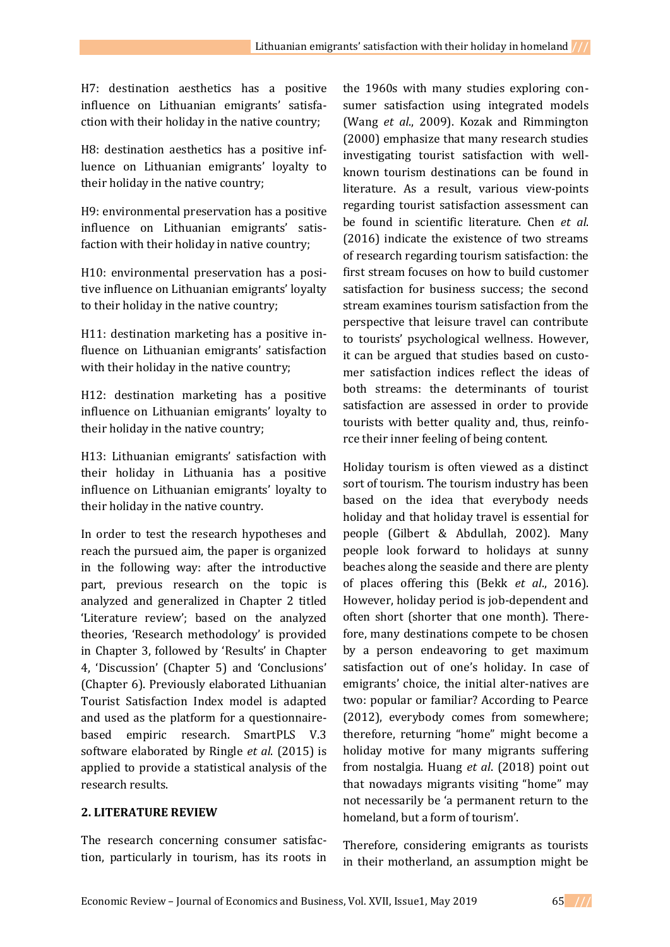H7: destination aesthetics has a positive influence on Lithuanian emigrants' satisfaction with their holiday in the native country;

H8: destination aesthetics has a positive influence on Lithuanian emigrants' loyalty to their holiday in the native country;

H9: environmental preservation has a positive influence on Lithuanian emigrants' satisfaction with their holiday in native country;

H10: environmental preservation has a positive influence on Lithuanian emigrants' loyalty to their holiday in the native country;

H11: destination marketing has a positive influence on Lithuanian emigrants' satisfaction with their holiday in the native country;

H12: destination marketing has a positive influence on Lithuanian emigrants' loyalty to their holiday in the native country;

H13: Lithuanian emigrants' satisfaction with their holiday in Lithuania has a positive influence on Lithuanian emigrants' loyalty to their holiday in the native country.

In order to test the research hypotheses and reach the pursued aim, the paper is organized in the following way: after the introductive part, previous research on the topic is analyzed and generalized in Chapter 2 titled 'Literature review'; based on the analyzed theories, 'Research methodology' is provided in Chapter 3, followed by 'Results' in Chapter 4, 'Discussion' (Chapter 5) and 'Conclusions' (Chapter 6). Previously elaborated Lithuanian Tourist Satisfaction Index model is adapted and used as the platform for a questionnairebased empiric research. SmartPLS V.3 software elaborated by Ringle *et al*. (2015) is applied to provide a statistical analysis of the research results.

### **2. LITERATURE REVIEW**

The research concerning consumer satisfaction, particularly in tourism, has its roots in the 1960s with many studies exploring consumer satisfaction using integrated models (Wang *et al*., 2009). Kozak and Rimmington (2000) emphasize that many research studies investigating tourist satisfaction with wellknown tourism destinations can be found in literature. As a result, various view-points regarding tourist satisfaction assessment can be found in scientific literature. Chen *et al*. (2016) indicate the existence of two streams of research regarding tourism satisfaction: the first stream focuses on how to build customer satisfaction for business success; the second stream examines tourism satisfaction from the perspective that leisure travel can contribute to tourists' psychological wellness. However, it can be argued that studies based on customer satisfaction indices reflect the ideas of both streams: the determinants of tourist satisfaction are assessed in order to provide tourists with better quality and, thus, reinforce their inner feeling of being content.

Holiday tourism is often viewed as a distinct sort of tourism. The tourism industry has been based on the idea that everybody needs holiday and that holiday travel is essential for people (Gilbert & Abdullah, 2002). Many people look forward to holidays at sunny beaches along the seaside and there are plenty of places offering this (Bekk *et al*., 2016). However, holiday period is job-dependent and often short (shorter that one month). Therefore, many destinations compete to be chosen by a person endeavoring to get maximum satisfaction out of one's holiday. In case of emigrants' choice, the initial alter-natives are two: popular or familiar? According to Pearce (2012), everybody comes from somewhere; therefore, returning "home" might become a holiday motive for many migrants suffering from nostalgia. Huang *et al*. (2018) point out that nowadays migrants visiting "home" may not necessarily be 'a permanent return to the homeland, but a form of tourism'.

Therefore, considering emigrants as tourists in their motherland, an assumption might be

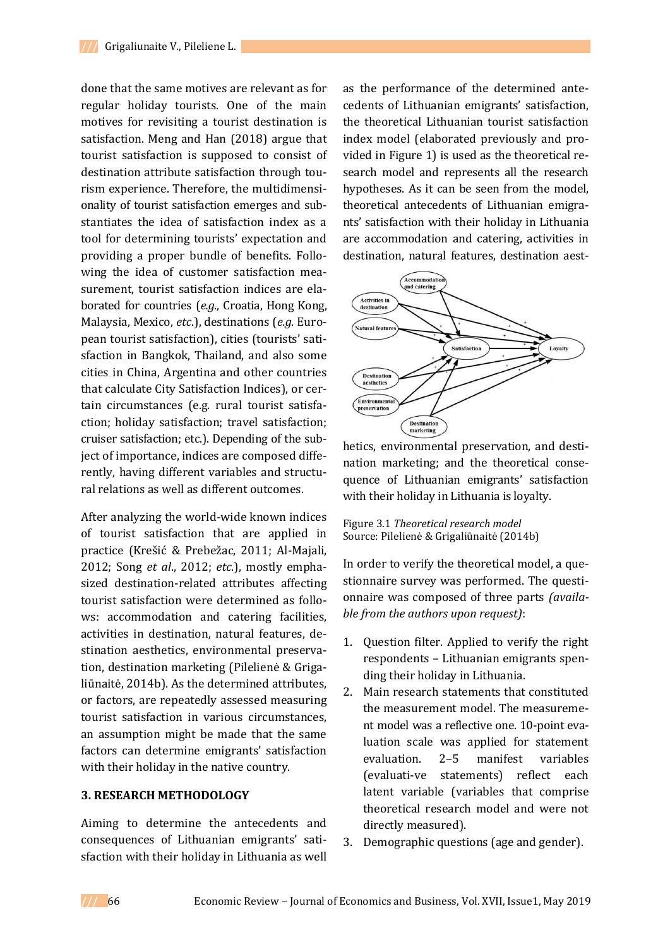done that the same motives are relevant as for regular holiday tourists. One of the main motives for revisiting a tourist destination is satisfaction. Meng and Han (2018) argue that tourist satisfaction is supposed to consist of destination attribute satisfaction through tourism experience. Therefore, the multidimensionality of tourist satisfaction emerges and substantiates the idea of satisfaction index as a tool for determining tourists' expectation and providing a proper bundle of benefits. Following the idea of customer satisfaction measurement, tourist satisfaction indices are elaborated for countries (*e.g*., Croatia, Hong Kong, Malaysia, Mexico, *etc*.), destinations (*e.g.* European tourist satisfaction), cities (tourists' satisfaction in Bangkok, Thailand, and also some cities in China, Argentina and other countries that calculate City Satisfaction Indices), or certain circumstances (e.g. rural tourist satisfaction; holiday satisfaction; travel satisfaction; cruiser satisfaction; etc.). Depending of the subject of importance, indices are composed differently, having different variables and structural relations as well as different outcomes.

After analyzing the world-wide known indices of tourist satisfaction that are applied in practice (Krešić & Prebežac, 2011; Al-Majali, 2012; Song *et al*., 2012; *etc*.), mostly emphasized destination-related attributes affecting tourist satisfaction were determined as follows: accommodation and catering facilities, activities in destination, natural features, destination aesthetics, environmental preservation, destination marketing (Pilelienė & Grigaliūnaitė, 2014b). As the determined attributes, or factors, are repeatedly assessed measuring tourist satisfaction in various circumstances, an assumption might be made that the same factors can determine emigrants' satisfaction with their holiday in the native country.

### **3. RESEARCH METHODOLOGY**

Aiming to determine the antecedents and consequences of Lithuanian emigrants' satisfaction with their holiday in Lithuania as well as the performance of the determined antecedents of Lithuanian emigrants' satisfaction, the theoretical Lithuanian tourist satisfaction index model (elaborated previously and provided in Figure 1) is used as the theoretical research model and represents all the research hypotheses. As it can be seen from the model, theoretical antecedents of Lithuanian emigrants' satisfaction with their holiday in Lithuania are accommodation and catering, activities in destination, natural features, destination aest-



hetics, environmental preservation, and destination marketing; and the theoretical consequence of Lithuanian emigrants' satisfaction with their holiday in Lithuania is loyalty.

#### Figure 3.1 *Theoretical research model* Source: Pilelienė & Grigaliūnaitė (2014b)

In order to verify the theoretical model, a questionnaire survey was performed. The questionnaire was composed of three parts *(available from the authors upon request)*:

- 1. Question filter. Applied to verify the right respondents – Lithuanian emigrants spending their holiday in Lithuania.
- 2. Main research statements that constituted the measurement model. The measurement model was a reflective one. 10-point evaluation scale was applied for statement evaluation. 2–5 manifest variables (evaluati-ve statements) reflect each latent variable (variables that comprise theoretical research model and were not directly measured).
- 3. Demographic questions (age and gender).

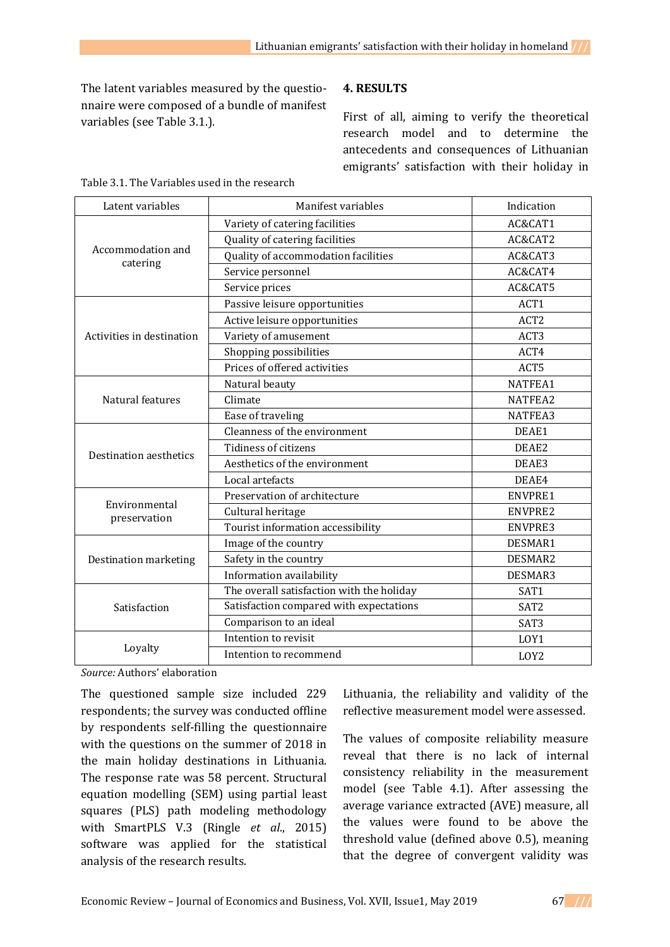The latent variables measured by the questionnaire were composed of a bundle of manifest variables (see Table 3.1.).

# **4. RESULTS**

First of all, aiming to verify the theoretical research model and to determine the antecedents and consequences of Lithuanian emigrants' satisfaction with their holiday in

| Latent variables              | Manifest variables                        | Indication       |
|-------------------------------|-------------------------------------------|------------------|
|                               | Variety of catering facilities            | AC&CAT1          |
|                               | Quality of catering facilities            | AC&CAT2          |
| Accommodation and<br>catering | Quality of accommodation facilities       | AC&CAT3          |
|                               | Service personnel                         | AC&CAT4          |
|                               | Service prices                            | AC&CAT5          |
|                               | Passive leisure opportunities             | ACT1             |
|                               | Active leisure opportunities              | ACT <sub>2</sub> |
| Activities in destination     | Variety of amusement                      | ACT3             |
|                               | Shopping possibilities                    | ACT4             |
|                               | Prices of offered activities              | ACT5             |
|                               | Natural beauty                            | NATFEA1          |
| Natural features              | Climate                                   | NATFEA2          |
|                               | Ease of traveling                         | NATFEA3          |
| Destination aesthetics        | Cleanness of the environment              | DEAE1            |
|                               | Tidiness of citizens                      | DEAE2            |
|                               | Aesthetics of the environment             | DEAE3            |
|                               | Local artefacts                           | DEAE4            |
| Environmental                 | Preservation of architecture              | ENVPRE1          |
| preservation                  | Cultural heritage                         | ENVPRE2          |
|                               | Tourist information accessibility         | ENVPRE3          |
|                               | Image of the country                      | DESMAR1          |
| Destination marketing         | Safety in the country                     | DESMAR2          |
|                               | Information availability                  | DESMAR3          |
|                               | The overall satisfaction with the holiday | SAT1             |
| Satisfaction                  | Satisfaction compared with expectations   | SAT <sub>2</sub> |
|                               | Comparison to an ideal                    | SAT3             |
|                               | Intention to revisit                      | LOY1             |
| Loyalty                       | Intention to recommend                    | LOY <sub>2</sub> |

Table 3.1. The Variables used in the research

*Source:* Authors' elaboration

The questioned sample size included 229 respondents; the survey was conducted offline by respondents self-filling the questionnaire with the questions on the summer of 2018 in the main holiday destinations in Lithuania. The response rate was 58 percent. Structural equation modelling (SEM) using partial least squares (PLS) path modeling methodology with SmartPLS V.3 (Ringle *et al*., 2015) software was applied for the statistical analysis of the research results.

Lithuania, the reliability and validity of the reflective measurement model were assessed.

The values of composite reliability measure reveal that there is no lack of internal consistency reliability in the measurement model (see Table 4.1). After assessing the average variance extracted (AVE) measure, all the values were found to be above the threshold value (defined above 0.5), meaning that the degree of convergent validity was

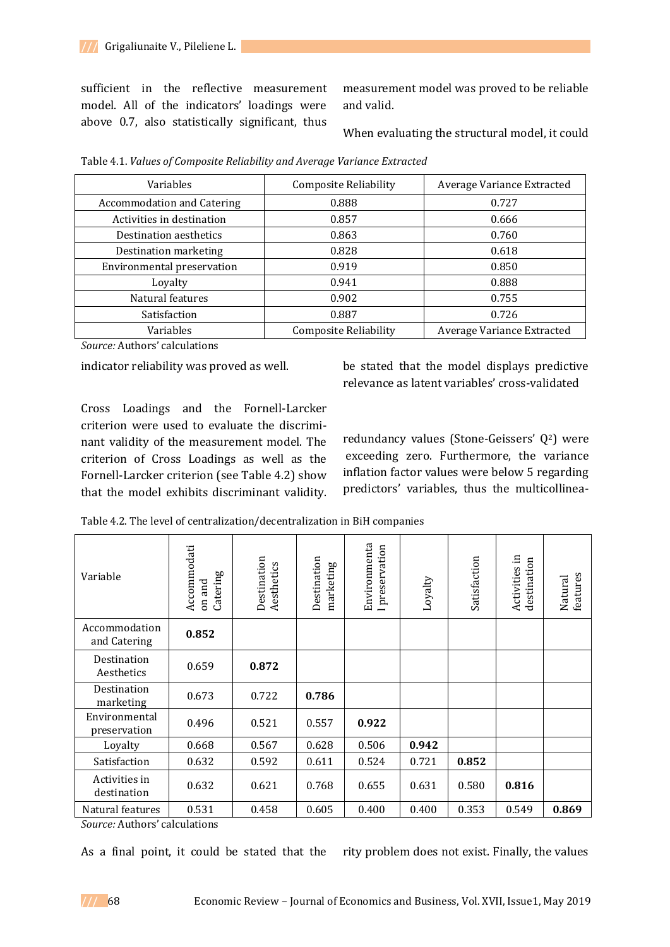sufficient in the reflective measurement model. All of the indicators' loadings were above 0.7, also statistically significant, thus

measurement model was proved to be reliable and valid.

When evaluating the structural model, it could

| Variables                         | <b>Composite Reliability</b> | Average Variance Extracted |
|-----------------------------------|------------------------------|----------------------------|
| <b>Accommodation and Catering</b> | 0.888                        | 0.727                      |
| Activities in destination         | 0.857                        | 0.666                      |
| Destination aesthetics            | 0.863                        | 0.760                      |
| Destination marketing             | 0.828                        | 0.618                      |
| Environmental preservation        | 0.919                        | 0.850                      |
| Loyalty                           | 0.941                        | 0.888                      |
| Natural features                  | 0.902                        | 0.755                      |
| Satisfaction                      | 0.887                        | 0.726                      |
| Variables                         | <b>Composite Reliability</b> | Average Variance Extracted |

Table 4.1. *Values of Composite Reliability and Average Variance Extracted*

*Source:* Authors' calculations

indicator reliability was proved as well.

be stated that the model displays predictive relevance as latent variables' cross-validated

Cross Loadings and the Fornell-Larcker criterion were used to evaluate the discriminant validity of the measurement model. The criterion of Cross Loadings as well as the Fornell-Larcker criterion (see Table 4.2) show that the model exhibits discriminant validity.

redundancy values (Stone-Geissers' Q2) were exceeding zero. Furthermore, the variance inflation factor values were below 5 regarding predictors' variables, thus the multicollinea-

Table 4.2. The level of centralization/decentralization in BiH companies

| Variable                      | Accommodati<br>Catering<br>on and | Destination<br>Aesthetics | Destination<br>marketing | Environmenta<br>I preservation | Loyalty | Satisfaction | Activities in<br>destination | features<br>Natural |
|-------------------------------|-----------------------------------|---------------------------|--------------------------|--------------------------------|---------|--------------|------------------------------|---------------------|
| Accommodation<br>and Catering | 0.852                             |                           |                          |                                |         |              |                              |                     |
| Destination<br>Aesthetics     | 0.659                             | 0.872                     |                          |                                |         |              |                              |                     |
| Destination<br>marketing      | 0.673                             | 0.722                     | 0.786                    |                                |         |              |                              |                     |
| Environmental<br>preservation | 0.496                             | 0.521                     | 0.557                    | 0.922                          |         |              |                              |                     |
| Loyalty                       | 0.668                             | 0.567                     | 0.628                    | 0.506                          | 0.942   |              |                              |                     |
| Satisfaction                  | 0.632                             | 0.592                     | 0.611                    | 0.524                          | 0.721   | 0.852        |                              |                     |
| Activities in<br>destination  | 0.632                             | 0.621                     | 0.768                    | 0.655                          | 0.631   | 0.580        | 0.816                        |                     |
| Natural features              | 0.531                             | 0.458                     | 0.605                    | 0.400                          | 0.400   | 0.353        | 0.549                        | 0.869               |

*Source:* Authors' calculations

As a final point, it could be stated that the rity problem does not exist. Finally, the values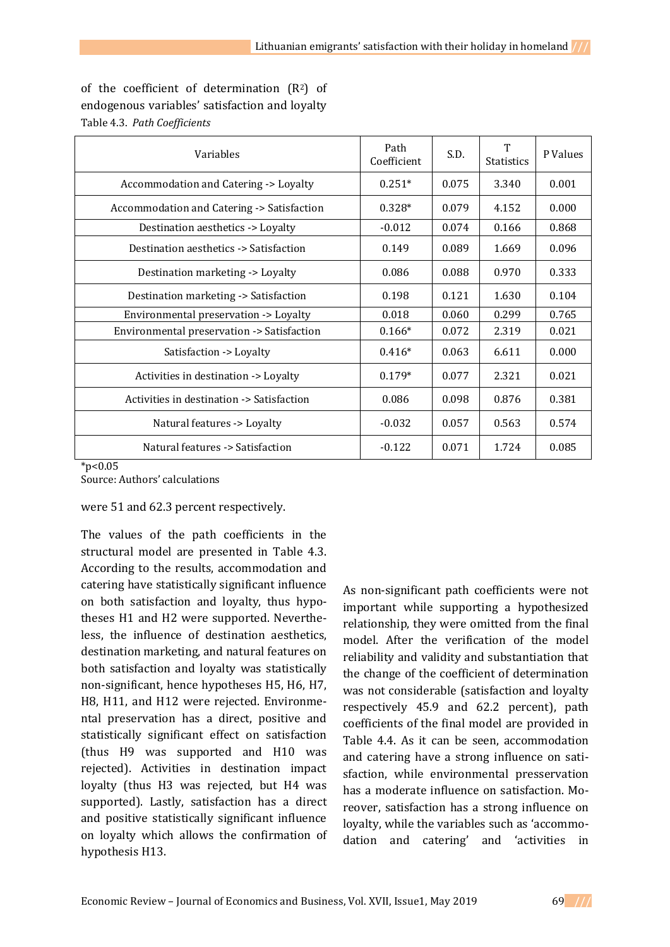|  |                              | of the coefficient of determination $(R^2)$ of |  |
|--|------------------------------|------------------------------------------------|--|
|  |                              | endogenous variables' satisfaction and loyalty |  |
|  | Table 4.3. Path Coefficients |                                                |  |

| Variables                                  | Path<br>Coefficient | S.D.  | T<br><b>Statistics</b> | P Values |
|--------------------------------------------|---------------------|-------|------------------------|----------|
| Accommodation and Catering -> Loyalty      | $0.251*$            | 0.075 | 3.340                  | 0.001    |
| Accommodation and Catering -> Satisfaction | $0.328*$            | 0.079 | 4.152                  | 0.000    |
| Destination aesthetics -> Loyalty          | $-0.012$            | 0.074 | 0.166                  | 0.868    |
| Destination aesthetics -> Satisfaction     | 0.149               | 0.089 | 1.669                  | 0.096    |
| Destination marketing -> Loyalty           | 0.086               | 0.088 | 0.970                  | 0.333    |
| Destination marketing -> Satisfaction      | 0.198               | 0.121 | 1.630                  | 0.104    |
| Environmental preservation -> Loyalty      | 0.018               | 0.060 | 0.299                  | 0.765    |
| Environmental preservation -> Satisfaction | $0.166*$            | 0.072 | 2.319                  | 0.021    |
| Satisfaction -> Loyalty                    | $0.416*$            | 0.063 | 6.611                  | 0.000    |
| Activities in destination -> Loyalty       | $0.179*$            | 0.077 | 2.321                  | 0.021    |
| Activities in destination -> Satisfaction  | 0.086               | 0.098 | 0.876                  | 0.381    |
| Natural features -> Loyalty                | $-0.032$            | 0.057 | 0.563                  | 0.574    |
| Natural features -> Satisfaction           | $-0.122$            | 0.071 | 1.724                  | 0.085    |

 $*n<0.05$ 

Source: Authors' calculations

were 51 and 62.3 percent respectively.

The values of the path coefficients in the structural model are presented in Table 4.3. According to the results, accommodation and catering have statistically significant influence on both satisfaction and loyalty, thus hypotheses H1 and H2 were supported. Nevertheless, the influence of destination aesthetics, destination marketing, and natural features on both satisfaction and loyalty was statistically non-significant, hence hypotheses H5, H6, H7, H8, H11, and H12 were rejected. Environmental preservation has a direct, positive and statistically significant effect on satisfaction (thus H9 was supported and H10 was rejected). Activities in destination impact loyalty (thus H3 was rejected, but H4 was supported). Lastly, satisfaction has a direct and positive statistically significant influence on loyalty which allows the confirmation of hypothesis H13.

As non-significant path coefficients were not important while supporting a hypothesized relationship, they were omitted from the final model. After the verification of the model reliability and validity and substantiation that the change of the coefficient of determination was not considerable (satisfaction and loyalty respectively 45.9 and 62.2 percent), path coefficients of the final model are provided in Table 4.4. As it can be seen, accommodation and catering have a strong influence on satisfaction, while environmental presservation has a moderate influence on satisfaction. Moreover, satisfaction has a strong influence on loyalty, while the variables such as 'accommodation and catering' and 'activities in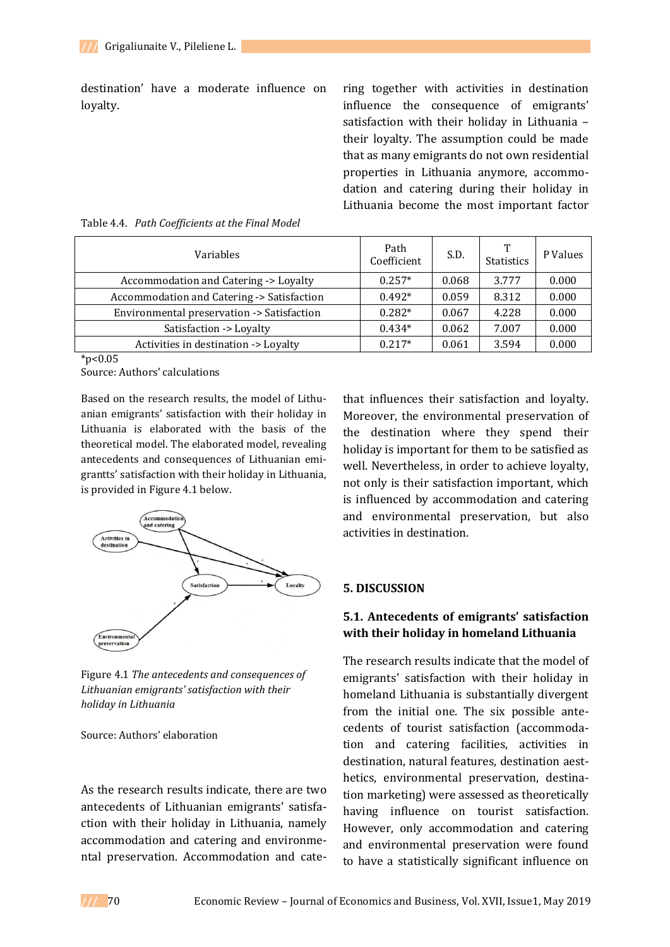destination' have a moderate influence on loyalty.

ring together with activities in destination influence the consequence of emigrants' satisfaction with their holiday in Lithuania – their loyalty. The assumption could be made that as many emigrants do not own residential properties in Lithuania anymore, accommodation and catering during their holiday in Lithuania become the most important factor

| Variables                                  | Path<br>Coefficient | S.D.  | ጥ<br><b>Statistics</b> | P Values |
|--------------------------------------------|---------------------|-------|------------------------|----------|
| Accommodation and Catering -> Loyalty      | $0.257*$            | 0.068 | 3.777                  | 0.000    |
| Accommodation and Catering -> Satisfaction | $0.492*$            | 0.059 | 8.312                  | 0.000    |
| Environmental preservation -> Satisfaction | $0.282*$            | 0.067 | 4.228                  | 0.000    |
| Satisfaction -> Loyalty                    | $0.434*$            | 0.062 | 7.007                  | 0.000    |
| Activities in destination -> Loyalty       | $0.217*$            | 0.061 | 3.594                  | 0.000    |

|  | Table 4.4. Path Coefficients at the Final Model |  |  |
|--|-------------------------------------------------|--|--|
|  |                                                 |  |  |

 $*p<0.05$ 

Source: Authors' calculations

Based on the research results, the model of Lithuanian emigrants' satisfaction with their holiday in Lithuania is elaborated with the basis of the theoretical model. The elaborated model, revealing antecedents and consequences of Lithuanian emigrantts' satisfaction with their holiday in Lithuania, is provided in Figure 4.1 below.



Figure 4.1 *The antecedents and consequences of Lithuanian emigrants' satisfaction with their holiday in Lithuania*

#### Source: Authors' elaboration

As the research results indicate, there are two antecedents of Lithuanian emigrants' satisfaction with their holiday in Lithuania, namely accommodation and catering and environmental preservation. Accommodation and catethat influences their satisfaction and loyalty. Moreover, the environmental preservation of the destination where they spend their holiday is important for them to be satisfied as well. Nevertheless, in order to achieve loyalty, not only is their satisfaction important, which is influenced by accommodation and catering and environmental preservation, but also activities in destination.

#### **5. DISCUSSION**

## **5.1. Antecedents of emigrants' satisfaction with their holiday in homeland Lithuania**

The research results indicate that the model of emigrants' satisfaction with their holiday in homeland Lithuania is substantially divergent from the initial one. The six possible antecedents of tourist satisfaction (accommodation and catering facilities, activities in destination, natural features, destination aesthetics, environmental preservation, destination marketing) were assessed as theoretically having influence on tourist satisfaction. However, only accommodation and catering and environmental preservation were found to have a statistically significant influence on

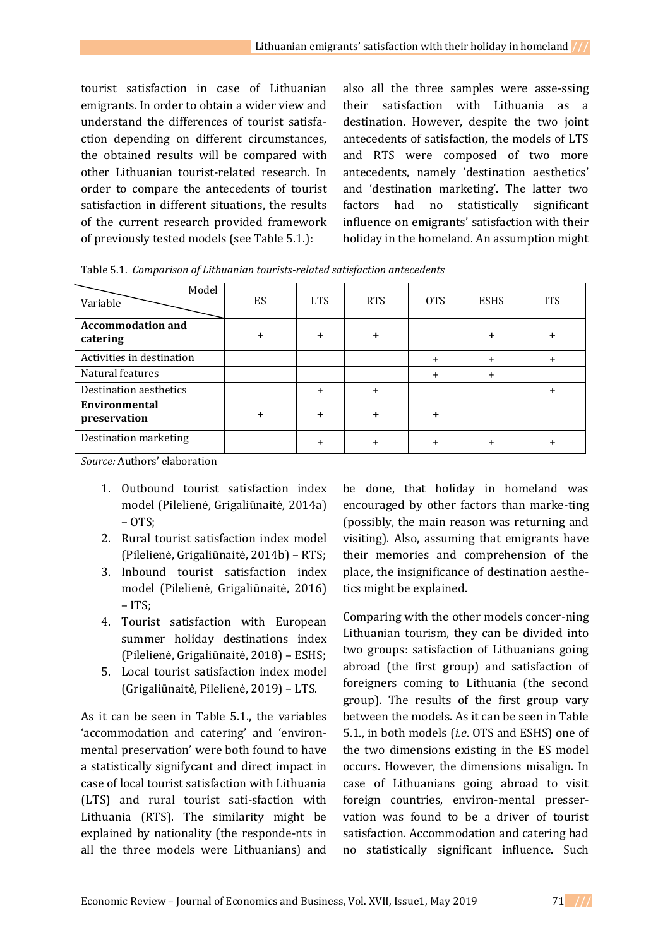tourist satisfaction in case of Lithuanian emigrants. In order to obtain a wider view and understand the differences of tourist satisfaction depending on different circumstances, the obtained results will be compared with other Lithuanian tourist-related research. In order to compare the antecedents of tourist satisfaction in different situations, the results of the current research provided framework of previously tested models (see Table 5.1.):

also all the three samples were asse-ssing their satisfaction with Lithuania as a destination. However, despite the two joint antecedents of satisfaction, the models of LTS and RTS were composed of two more antecedents, namely 'destination aesthetics' and 'destination marketing'. The latter two factors had no statistically significant influence on emigrants' satisfaction with their holiday in the homeland. An assumption might

Table 5.1. *Comparison of Lithuanian tourists-related satisfaction antecedents* Model

| Model<br>Variable                    | ES | <b>LTS</b> | <b>RTS</b> | <b>OTS</b> | <b>ESHS</b> | <b>ITS</b> |
|--------------------------------------|----|------------|------------|------------|-------------|------------|
| <b>Accommodation and</b><br>catering |    |            |            |            |             |            |
| Activities in destination            |    |            |            |            |             |            |
| Natural features                     |    |            |            | $\pm$      | $\pm$       |            |
| Destination aesthetics               |    |            |            |            |             |            |
| <b>Environmental</b><br>preservation |    |            |            |            |             |            |
| Destination marketing                |    |            |            |            |             |            |

*Source:* Authors' elaboration

- 1. Outbound tourist satisfaction index model (Pilelienė, Grigaliūnaitė, 2014a) – OTS;
- 2. Rural tourist satisfaction index model (Pilelienė, Grigaliūnaitė, 2014b) – RTS;
- 3. Inbound tourist satisfaction index model (Pilelienė, Grigaliūnaitė, 2016) – ITS;
- 4. Tourist satisfaction with European summer holiday destinations index (Pilelienė, Grigaliūnaitė, 2018) – ESHS;
- 5. Local tourist satisfaction index model (Grigaliūnaitė, Pilelienė, 2019) – LTS.

As it can be seen in Table 5.1., the variables 'accommodation and catering' and 'environmental preservation' were both found to have a statistically signifycant and direct impact in case of local tourist satisfaction with Lithuania (LTS) and rural tourist sati-sfaction with Lithuania (RTS). The similarity might be explained by nationality (the responde-nts in all the three models were Lithuanians) and

be done, that holiday in homeland was encouraged by other factors than marke-ting (possibly, the main reason was returning and visiting). Also, assuming that emigrants have their memories and comprehension of the place, the insignificance of destination aesthetics might be explained.

Comparing with the other models concer-ning Lithuanian tourism, they can be divided into two groups: satisfaction of Lithuanians going abroad (the first group) and satisfaction of foreigners coming to Lithuania (the second group). The results of the first group vary between the models. As it can be seen in Table 5.1., in both models (*i.e*. OTS and ESHS) one of the two dimensions existing in the ES model occurs. However, the dimensions misalign. In case of Lithuanians going abroad to visit foreign countries, environ-mental presservation was found to be a driver of tourist satisfaction. Accommodation and catering had no statistically significant influence. Such

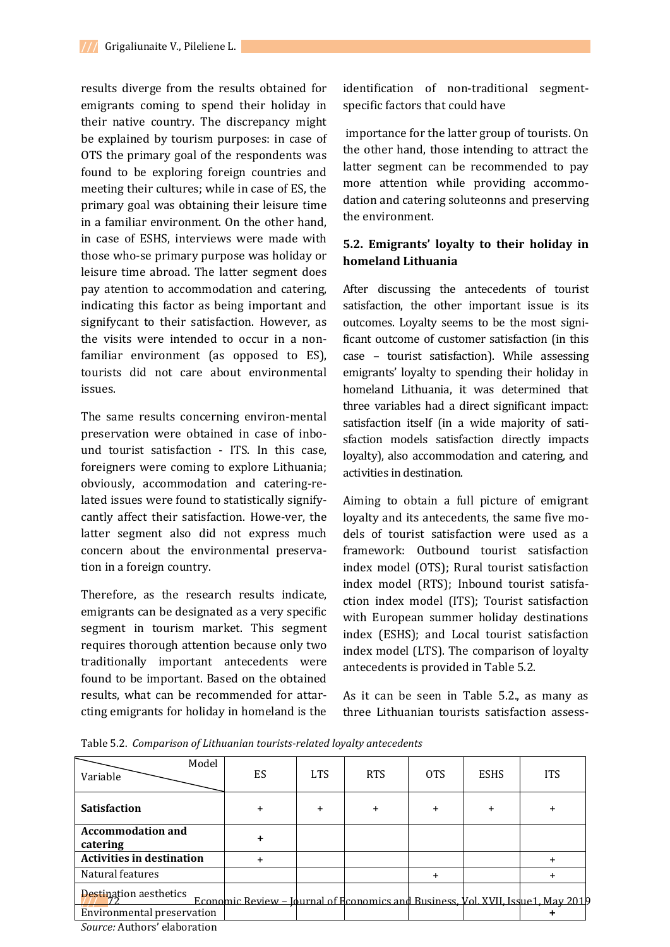results diverge from the results obtained for emigrants coming to spend their holiday in their native country. The discrepancy might be explained by tourism purposes: in case of OTS the primary goal of the respondents was found to be exploring foreign countries and meeting their cultures; while in case of ES, the primary goal was obtaining their leisure time in a familiar environment. On the other hand, in case of ESHS, interviews were made with those who-se primary purpose was holiday or leisure time abroad. The latter segment does pay atention to accommodation and catering, indicating this factor as being important and signifycant to their satisfaction. However, as the visits were intended to occur in a nonfamiliar environment (as opposed to ES), tourists did not care about environmental issues.

The same results concerning environ-mental preservation were obtained in case of inbound tourist satisfaction - ITS. In this case, foreigners were coming to explore Lithuania; obviously, accommodation and catering-related issues were found to statistically signifycantly affect their satisfaction. Howe-ver, the latter segment also did not express much concern about the environmental preservation in a foreign country.

Therefore, as the research results indicate, emigrants can be designated as a very specific segment in tourism market. This segment requires thorough attention because only two traditionally important antecedents were found to be important. Based on the obtained results, what can be recommended for attarcting emigrants for holiday in homeland is the

identification of non-traditional segmentspecific factors that could have

importance for the latter group of tourists. On the other hand, those intending to attract the latter segment can be recommended to pay more attention while providing accommodation and catering soluteonns and preserving the environment.

## **5.2. Emigrants' loyalty to their holiday in homeland Lithuania**

After discussing the antecedents of tourist satisfaction, the other important issue is its outcomes. Loyalty seems to be the most significant outcome of customer satisfaction (in this case – tourist satisfaction). While assessing emigrants' loyalty to spending their holiday in homeland Lithuania, it was determined that three variables had a direct significant impact: satisfaction itself (in a wide majority of satisfaction models satisfaction directly impacts loyalty), also accommodation and catering, and activities in destination.

Aiming to obtain a full picture of emigrant loyalty and its antecedents, the same five models of tourist satisfaction were used as a framework: Outbound tourist satisfaction index model (OTS); Rural tourist satisfaction index model (RTS); Inbound tourist satisfaction index model (ITS); Tourist satisfaction with European summer holiday destinations index (ESHS); and Local tourist satisfaction index model (LTS). The comparison of loyalty antecedents is provided in Table 5.2.

As it can be seen in Table 5.2., as many as three Lithuanian tourists satisfaction assess-

Table 5.2. *Comparison of Lithuanian tourists-related loyalty antecedents*

| Model<br>Variable                    | ES                                                                                        | <b>LTS</b> | <b>RTS</b> | 0TS       | <b>ESHS</b> | <b>ITS</b> |
|--------------------------------------|-------------------------------------------------------------------------------------------|------------|------------|-----------|-------------|------------|
| <b>Satisfaction</b>                  |                                                                                           | $\ddot{}$  |            | $\ddot{}$ | $\ddot{}$   |            |
| <b>Accommodation and</b><br>catering |                                                                                           |            |            |           |             |            |
| <b>Activities in destination</b>     |                                                                                           |            |            |           |             |            |
| Natural features                     |                                                                                           |            |            | $\ddot{}$ |             | $\pm$      |
| <b>Destination aesthetics</b>        | <u> Economic Review – Journal of Economics and Business, Vol. XVII, Issue 1, May 2019</u> |            |            |           |             |            |
| <b>Environmental preservation</b>    |                                                                                           |            |            |           |             |            |
| Source: Authors' elaboration         |                                                                                           |            |            |           |             |            |

*Source:* Authors' elaboration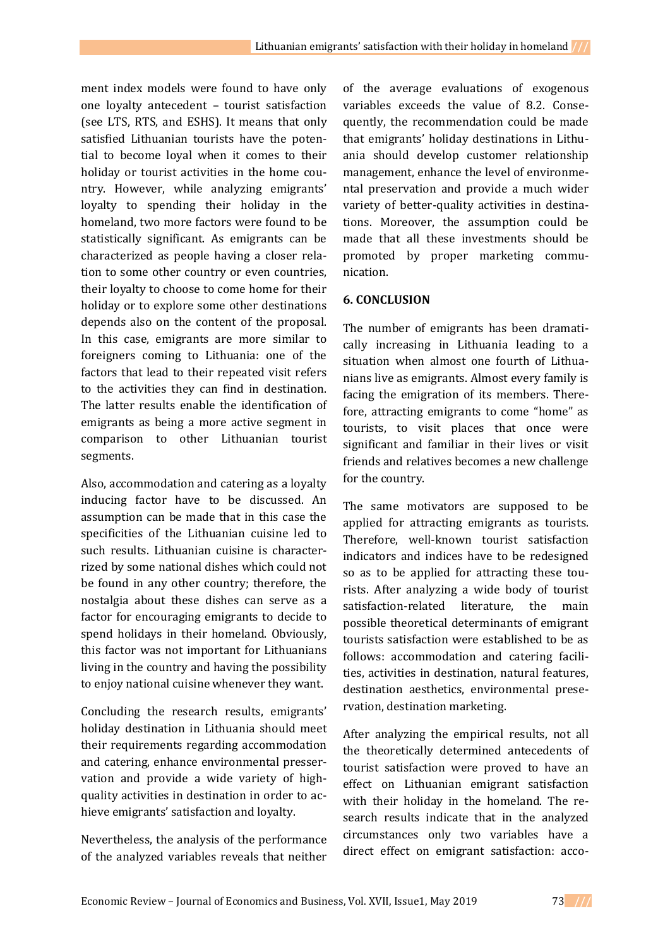ment index models were found to have only one loyalty antecedent – tourist satisfaction (see LTS, RTS, and ESHS). It means that only satisfied Lithuanian tourists have the potential to become loyal when it comes to their holiday or tourist activities in the home country. However, while analyzing emigrants' loyalty to spending their holiday in the homeland, two more factors were found to be statistically significant. As emigrants can be characterized as people having a closer relation to some other country or even countries, their loyalty to choose to come home for their holiday or to explore some other destinations depends also on the content of the proposal. In this case, emigrants are more similar to foreigners coming to Lithuania: one of the factors that lead to their repeated visit refers to the activities they can find in destination. The latter results enable the identification of emigrants as being a more active segment in comparison to other Lithuanian tourist segments.

Also, accommodation and catering as a loyalty inducing factor have to be discussed. An assumption can be made that in this case the specificities of the Lithuanian cuisine led to such results. Lithuanian cuisine is characterrized by some national dishes which could not be found in any other country; therefore, the nostalgia about these dishes can serve as a factor for encouraging emigrants to decide to spend holidays in their homeland. Obviously, this factor was not important for Lithuanians living in the country and having the possibility to enjoy national cuisine whenever they want.

Concluding the research results, emigrants' holiday destination in Lithuania should meet their requirements regarding accommodation and catering, enhance environmental presservation and provide a wide variety of highquality activities in destination in order to achieve emigrants' satisfaction and loyalty.

Nevertheless, the analysis of the performance of the analyzed variables reveals that neither

of the average evaluations of exogenous variables exceeds the value of 8.2. Consequently, the recommendation could be made that emigrants' holiday destinations in Lithuania should develop customer relationship management, enhance the level of environmental preservation and provide a much wider variety of better-quality activities in destinations. Moreover, the assumption could be made that all these investments should be promoted by proper marketing communication.

## **6. CONCLUSION**

The number of emigrants has been dramatically increasing in Lithuania leading to a situation when almost one fourth of Lithuanians live as emigrants. Almost every family is facing the emigration of its members. Therefore, attracting emigrants to come "home" as tourists, to visit places that once were significant and familiar in their lives or visit friends and relatives becomes a new challenge for the country.

The same motivators are supposed to be applied for attracting emigrants as tourists. Therefore, well-known tourist satisfaction indicators and indices have to be redesigned so as to be applied for attracting these tourists. After analyzing a wide body of tourist satisfaction-related literature, the main possible theoretical determinants of emigrant tourists satisfaction were established to be as follows: accommodation and catering facilities, activities in destination, natural features, destination aesthetics, environmental preservation, destination marketing.

After analyzing the empirical results, not all the theoretically determined antecedents of tourist satisfaction were proved to have an effect on Lithuanian emigrant satisfaction with their holiday in the homeland. The research results indicate that in the analyzed circumstances only two variables have a direct effect on emigrant satisfaction: acco-

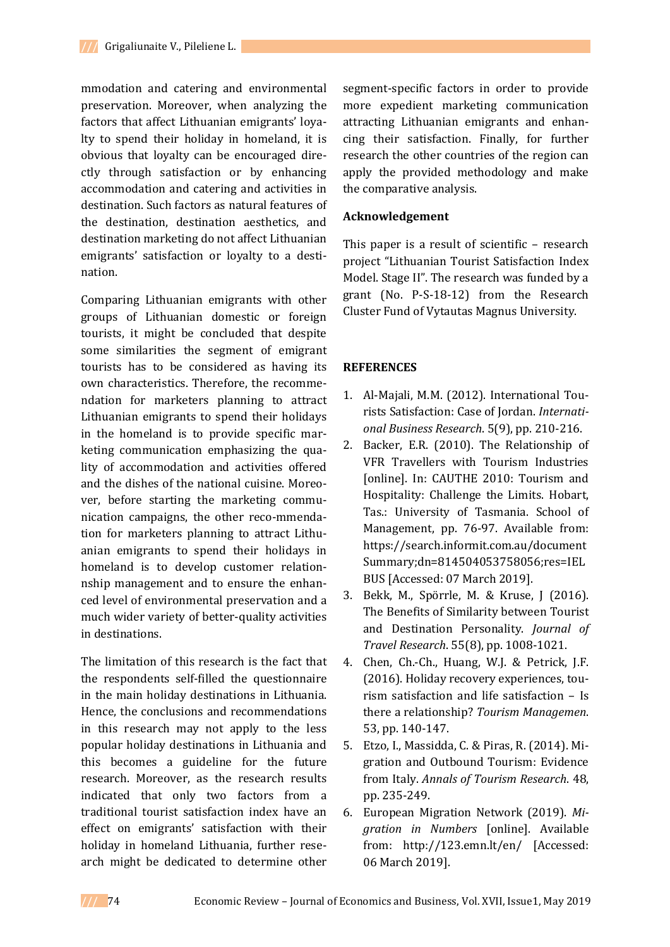mmodation and catering and environmental preservation. Moreover, when analyzing the factors that affect Lithuanian emigrants' loyalty to spend their holiday in homeland, it is obvious that loyalty can be encouraged directly through satisfaction or by enhancing accommodation and catering and activities in destination. Such factors as natural features of the destination, destination aesthetics, and destination marketing do not affect Lithuanian emigrants' satisfaction or loyalty to a destination.

Comparing Lithuanian emigrants with other groups of Lithuanian domestic or foreign tourists, it might be concluded that despite some similarities the segment of emigrant tourists has to be considered as having its own characteristics. Therefore, the recommendation for marketers planning to attract Lithuanian emigrants to spend their holidays in the homeland is to provide specific marketing communication emphasizing the quality of accommodation and activities offered and the dishes of the national cuisine. Moreover, before starting the marketing communication campaigns, the other reco-mmendation for marketers planning to attract Lithuanian emigrants to spend their holidays in homeland is to develop customer relationnship management and to ensure the enhanced level of environmental preservation and a much wider variety of better-quality activities in destinations.

The limitation of this research is the fact that the respondents self-filled the questionnaire in the main holiday destinations in Lithuania. Hence, the conclusions and recommendations in this research may not apply to the less popular holiday destinations in Lithuania and this becomes a guideline for the future research. Moreover, as the research results indicated that only two factors from a traditional tourist satisfaction index have an effect on emigrants' satisfaction with their holiday in homeland Lithuania, further research might be dedicated to determine other

segment-specific factors in order to provide more expedient marketing communication attracting Lithuanian emigrants and enhancing their satisfaction. Finally, for further research the other countries of the region can apply the provided methodology and make the comparative analysis.

## **Acknowledgement**

This paper is a result of scientific – research project "Lithuanian Tourist Satisfaction Index Model. Stage II". The research was funded by a grant (No. P-S-18-12) from the Research Cluster Fund of Vytautas Magnus University.

## **REFERENCES**

- 1. Al-Majali, M.M. (2012). International Tourists Satisfaction: Case of Jordan. *International Business Research*. 5(9), pp. 210-216.
- 2. Backer, E.R. (2010). The Relationship of VFR Travellers with Tourism Industries [online]. In: CAUTHE 2010: Tourism and Hospitality: Challenge the Limits. Hobart, Tas.: University of Tasmania. School of Management, pp. 76-97. Available from: [https://search.informit.com.au/document](https://search.informit.com.au/documentSummary;dn=814504053758056;res=IELBUS) [Summary;dn=814504053758056;res=IEL](https://search.informit.com.au/documentSummary;dn=814504053758056;res=IELBUS) [BUS](https://search.informit.com.au/documentSummary;dn=814504053758056;res=IELBUS) [Accessed: 07 March 2019].
- 3. Bekk, M., Spörrle, M. & Kruse, J (2016). The Benefits of Similarity between Tourist and Destination Personality. *Journal of Travel Research*. 55(8), pp. 1008-1021.
- 4. Chen, Ch.-Ch., Huang, W.J. & Petrick, J.F. (2016). Holiday recovery experiences, tourism satisfaction and life satisfaction – Is there a relationship? *Tourism Managemen*. 53, pp. 140-147.
- 5. Etzo, I., Massidda, C. & Piras, R. (2014). Migration and Outbound Tourism: Evidence from Italy. *Annals of Tourism Research*. 48, pp. 235-249.
- 6. European Migration Network (2019). *Migration in Numbers* [online]. Available from: <http://123.emn.lt/en/> [Accessed: 06 March 2019].